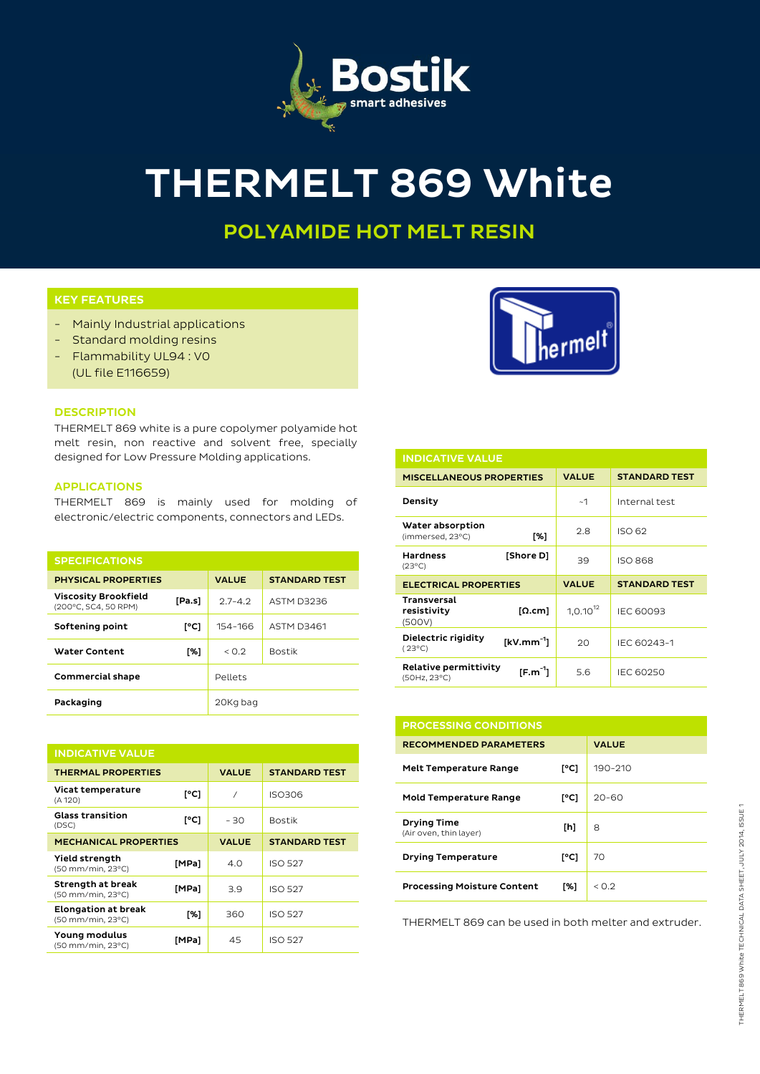

# THERMELT 869 White

## POLYAMIDE HOT MELT RESIN

### KEY FEATURES

- Mainly Industrial applications
- Standard molding resins
- Flammability UL94 : V0 (UL file E116659)



THERMELT 869 white is a pure copolymer polyamide hot melt resin, non reactive and solvent free, specially designed for Low Pressure Molding applications.

#### APPLICATIONS

THERMELT 869 is mainly used for molding of electronic/electric components, connectors and LEDs.

| <b>SPECIFICATIONS</b>                               |        |              |                      |
|-----------------------------------------------------|--------|--------------|----------------------|
| <b>PHYSICAL PROPERTIES</b>                          |        | <b>VALUE</b> | <b>STANDARD TEST</b> |
| <b>Viscosity Brookfield</b><br>(200°C, SC4, 50 RPM) | [Pa.s] | $27 - 42$    | ASTM D3236           |
| Softening point                                     | [°C]   | 154-166      | <b>ASTM D3461</b>    |
| <b>Water Content</b>                                | [%]    | < 0.2        | <b>Bostik</b>        |
| <b>Commercial shape</b>                             |        | Pellets      |                      |
| Packaging                                           |        | 20Kg bag     |                      |

| <b>INDICATIVE VALUE</b>                         |       |              |                      |  |
|-------------------------------------------------|-------|--------------|----------------------|--|
| <b>THERMAL PROPERTIES</b>                       |       | <b>VALUE</b> | <b>STANDARD TEST</b> |  |
| Vicat temperature<br>(A 120)                    | [°C]  | $\prime$     | <b>ISO306</b>        |  |
| <b>Glass transition</b><br>(DSC)                | [°C]  | - 30         | <b>Bostik</b>        |  |
| <b>MECHANICAL PROPERTIES</b>                    |       | <b>VALUE</b> | <b>STANDARD TEST</b> |  |
| Yield strength<br>(50 mm/min, 23°C)             | [MPa] | 4.0          | <b>ISO 527</b>       |  |
| Strength at break<br>(50 mm/min, 23°C)          | [MPa] | 3.9          | <b>ISO 527</b>       |  |
| <b>Elongation at break</b><br>(50 mm/min, 23°C) | [%]   | 360          | <b>ISO 527</b>       |  |
| Young modulus<br>(50 mm/min, 23°C)              | [MPa] | 45           | <b>ISO 527</b>       |  |



| <b>INDICATIVE VALUE</b>                                            |               |                      |  |  |
|--------------------------------------------------------------------|---------------|----------------------|--|--|
| <b>MISCELLANEOUS PROPERTIES</b>                                    | <b>VALUE</b>  | <b>STANDARD TEST</b> |  |  |
| Density                                                            | ~1            | Internal test        |  |  |
| Water absorption<br>[%]<br>(immersed, 23°C)                        | 2.8           | ISO 62               |  |  |
| <b>Hardness</b><br>[Shore D]<br>$(23^{\circ}C)$                    | 39            | <b>ISO 868</b>       |  |  |
|                                                                    |               |                      |  |  |
| <b>ELECTRICAL PROPERTIES</b>                                       | <b>VALUE</b>  | <b>STANDARD TEST</b> |  |  |
| <b>Transversal</b><br>resistivity<br>$\lceil \Omega$ .cm<br>(500V) | $1,0.10^{12}$ | <b>IEC 60093</b>     |  |  |
| Dielectric rigidity<br>$[kV/mm^{-1}]$<br>$(23^{\circ}C)$           | 20            | IEC 60243-1          |  |  |

| <b>PROCESSING CONDITIONS</b>                 |      |              |  |  |
|----------------------------------------------|------|--------------|--|--|
| <b>RECOMMENDED PARAMETERS</b>                |      | <b>VALUE</b> |  |  |
| <b>Melt Temperature Range</b>                | [°C] | 190-210      |  |  |
| <b>Mold Temperature Range</b>                | [°C] | 20–60        |  |  |
| <b>Drying Time</b><br>(Air oven, thin layer) | [h]  | 8            |  |  |
| <b>Drying Temperature</b>                    | [°C] | 70           |  |  |
| <b>Processing Moisture Content</b>           | [%]  | < 0.2        |  |  |

THERMELT 869 can be used in both melter and extruder.